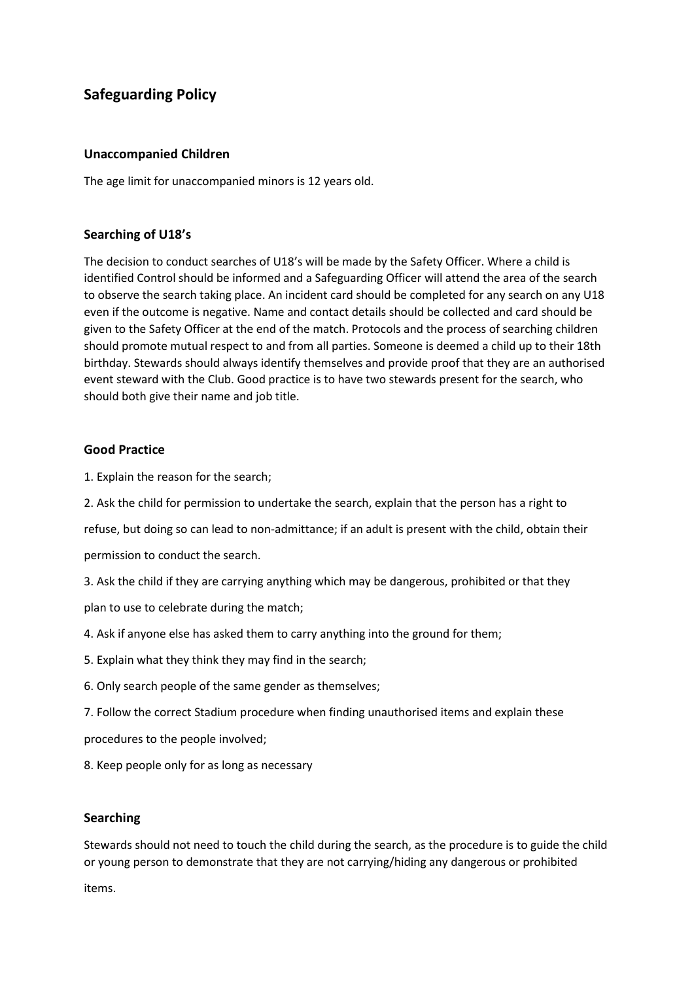# **Safeguarding Policy**

# **Unaccompanied Children**

The age limit for unaccompanied minors is 12 years old.

## **Searching of U18's**

The decision to conduct searches of U18's will be made by the Safety Officer. Where a child is identified Control should be informed and a Safeguarding Officer will attend the area of the search to observe the search taking place. An incident card should be completed for any search on any U18 even if the outcome is negative. Name and contact details should be collected and card should be given to the Safety Officer at the end of the match. Protocols and the process of searching children should promote mutual respect to and from all parties. Someone is deemed a child up to their 18th birthday. Stewards should always identify themselves and provide proof that they are an authorised event steward with the Club. Good practice is to have two stewards present for the search, who should both give their name and job title.

## **Good Practice**

- 1. Explain the reason for the search;
- 2. Ask the child for permission to undertake the search, explain that the person has a right to

refuse, but doing so can lead to non-admittance; if an adult is present with the child, obtain their

permission to conduct the search.

3. Ask the child if they are carrying anything which may be dangerous, prohibited or that they

plan to use to celebrate during the match;

- 4. Ask if anyone else has asked them to carry anything into the ground for them;
- 5. Explain what they think they may find in the search;
- 6. Only search people of the same gender as themselves;
- 7. Follow the correct Stadium procedure when finding unauthorised items and explain these

procedures to the people involved;

8. Keep people only for as long as necessary

# **Searching**

Stewards should not need to touch the child during the search, as the procedure is to guide the child or young person to demonstrate that they are not carrying/hiding any dangerous or prohibited

items.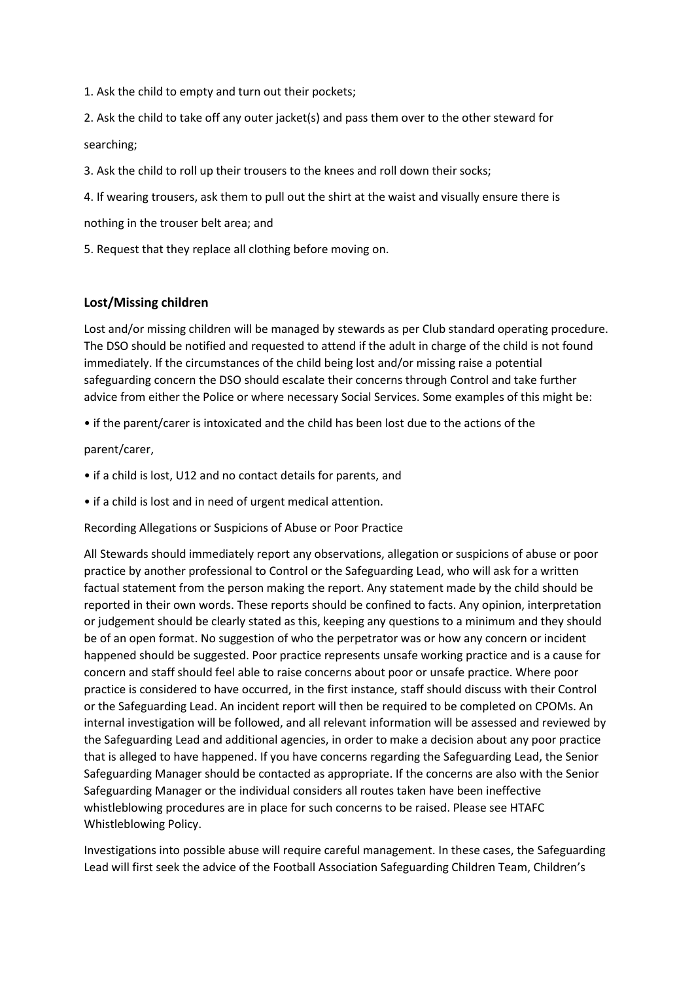1. Ask the child to empty and turn out their pockets;

2. Ask the child to take off any outer jacket(s) and pass them over to the other steward for searching;

3. Ask the child to roll up their trousers to the knees and roll down their socks;

4. If wearing trousers, ask them to pull out the shirt at the waist and visually ensure there is

nothing in the trouser belt area; and

5. Request that they replace all clothing before moving on.

## **Lost/Missing children**

Lost and/or missing children will be managed by stewards as per Club standard operating procedure. The DSO should be notified and requested to attend if the adult in charge of the child is not found immediately. If the circumstances of the child being lost and/or missing raise a potential safeguarding concern the DSO should escalate their concerns through Control and take further advice from either the Police or where necessary Social Services. Some examples of this might be:

• if the parent/carer is intoxicated and the child has been lost due to the actions of the

parent/carer,

- if a child is lost, U12 and no contact details for parents, and
- if a child is lost and in need of urgent medical attention.

Recording Allegations or Suspicions of Abuse or Poor Practice

All Stewards should immediately report any observations, allegation or suspicions of abuse or poor practice by another professional to Control or the Safeguarding Lead, who will ask for a written factual statement from the person making the report. Any statement made by the child should be reported in their own words. These reports should be confined to facts. Any opinion, interpretation or judgement should be clearly stated as this, keeping any questions to a minimum and they should be of an open format. No suggestion of who the perpetrator was or how any concern or incident happened should be suggested. Poor practice represents unsafe working practice and is a cause for concern and staff should feel able to raise concerns about poor or unsafe practice. Where poor practice is considered to have occurred, in the first instance, staff should discuss with their Control or the Safeguarding Lead. An incident report will then be required to be completed on CPOMs. An internal investigation will be followed, and all relevant information will be assessed and reviewed by the Safeguarding Lead and additional agencies, in order to make a decision about any poor practice that is alleged to have happened. If you have concerns regarding the Safeguarding Lead, the Senior Safeguarding Manager should be contacted as appropriate. If the concerns are also with the Senior Safeguarding Manager or the individual considers all routes taken have been ineffective whistleblowing procedures are in place for such concerns to be raised. Please see HTAFC Whistleblowing Policy.

Investigations into possible abuse will require careful management. In these cases, the Safeguarding Lead will first seek the advice of the Football Association Safeguarding Children Team, Children's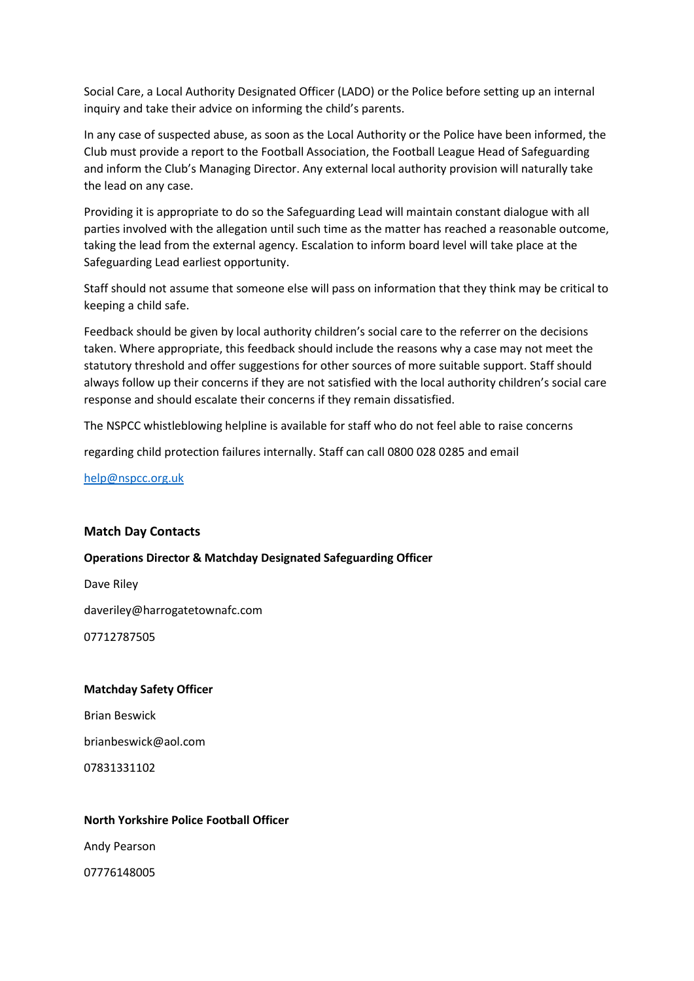Social Care, a Local Authority Designated Officer (LADO) or the Police before setting up an internal inquiry and take their advice on informing the child's parents.

In any case of suspected abuse, as soon as the Local Authority or the Police have been informed, the Club must provide a report to the Football Association, the Football League Head of Safeguarding and inform the Club's Managing Director. Any external local authority provision will naturally take the lead on any case.

Providing it is appropriate to do so the Safeguarding Lead will maintain constant dialogue with all parties involved with the allegation until such time as the matter has reached a reasonable outcome, taking the lead from the external agency. Escalation to inform board level will take place at the Safeguarding Lead earliest opportunity.

Staff should not assume that someone else will pass on information that they think may be critical to keeping a child safe.

Feedback should be given by local authority children's social care to the referrer on the decisions taken. Where appropriate, this feedback should include the reasons why a case may not meet the statutory threshold and offer suggestions for other sources of more suitable support. Staff should always follow up their concerns if they are not satisfied with the local authority children's social care response and should escalate their concerns if they remain dissatisfied.

The NSPCC whistleblowing helpline is available for staff who do not feel able to raise concerns

regarding child protection failures internally. Staff can call 0800 028 0285 and email

[help@nspcc.org.uk](mailto:help@nspcc.org.uk)

### **Match Day Contacts**

### **Operations Director & Matchday Designated Safeguarding Officer**

Dave Riley daveriley@harrogatetownafc.com 07712787505

### **Matchday Safety Officer**

Brian Beswick

brianbeswick@aol.com

07831331102

### **North Yorkshire Police Football Officer**

Andy Pearson

07776148005